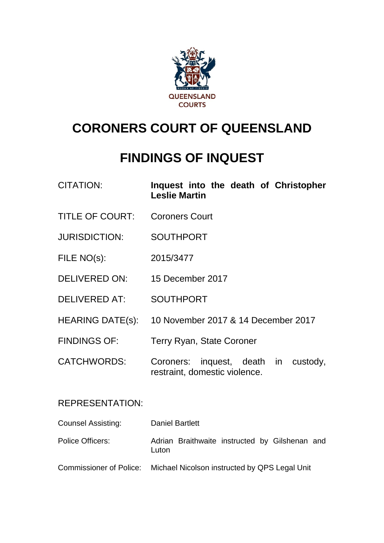

# **CORONERS COURT OF QUEENSLAND**

## **FINDINGS OF INQUEST**

| <b>CITATION:</b> |                      |  |  | Inquest into the death of Christopher |
|------------------|----------------------|--|--|---------------------------------------|
|                  | <b>Leslie Martin</b> |  |  |                                       |

- TITLE OF COURT: Coroners Court
- JURISDICTION: SOUTHPORT
- FILE NO(s): 2015/3477
- DELIVERED ON: 15 December 2017
- DELIVERED AT: SOUTHPORT
- HEARING DATE(s): 10 November 2017 & 14 December 2017
- FINDINGS OF: Terry Ryan, State Coroner
- CATCHWORDS: Coroners: inquest, death in custody, restraint, domestic violence.

## REPRESENTATION:

| <b>Counsel Assisting:</b> | Daniel Bartlett                                                       |  |  |  |  |  |
|---------------------------|-----------------------------------------------------------------------|--|--|--|--|--|
| Police Officers:          | Adrian Braithwaite instructed by Gilshenan and<br>Luton               |  |  |  |  |  |
|                           | Commissioner of Police: Michael Nicolson instructed by QPS Legal Unit |  |  |  |  |  |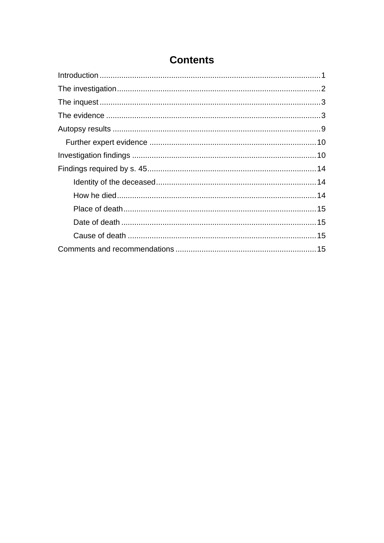## **Contents**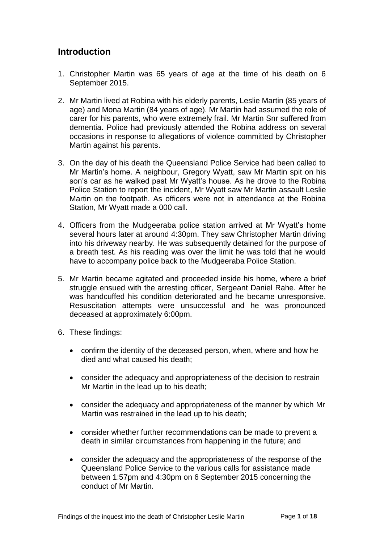## <span id="page-2-0"></span>**Introduction**

- 1. Christopher Martin was 65 years of age at the time of his death on 6 September 2015.
- 2. Mr Martin lived at Robina with his elderly parents, Leslie Martin (85 years of age) and Mona Martin (84 years of age). Mr Martin had assumed the role of carer for his parents, who were extremely frail. Mr Martin Snr suffered from dementia. Police had previously attended the Robina address on several occasions in response to allegations of violence committed by Christopher Martin against his parents.
- 3. On the day of his death the Queensland Police Service had been called to Mr Martin's home. A neighbour, Gregory Wyatt, saw Mr Martin spit on his son's car as he walked past Mr Wyatt's house. As he drove to the Robina Police Station to report the incident, Mr Wyatt saw Mr Martin assault Leslie Martin on the footpath. As officers were not in attendance at the Robina Station, Mr Wyatt made a 000 call.
- 4. Officers from the Mudgeeraba police station arrived at Mr Wyatt's home several hours later at around 4:30pm. They saw Christopher Martin driving into his driveway nearby. He was subsequently detained for the purpose of a breath test. As his reading was over the limit he was told that he would have to accompany police back to the Mudgeeraba Police Station.
- 5. Mr Martin became agitated and proceeded inside his home, where a brief struggle ensued with the arresting officer, Sergeant Daniel Rahe. After he was handcuffed his condition deteriorated and he became unresponsive. Resuscitation attempts were unsuccessful and he was pronounced deceased at approximately 6:00pm.
- 6. These findings:
	- confirm the identity of the deceased person, when, where and how he died and what caused his death;
	- consider the adequacy and appropriateness of the decision to restrain Mr Martin in the lead up to his death;
	- consider the adequacy and appropriateness of the manner by which Mr Martin was restrained in the lead up to his death;
	- consider whether further recommendations can be made to prevent a death in similar circumstances from happening in the future; and
	- consider the adequacy and the appropriateness of the response of the Queensland Police Service to the various calls for assistance made between 1:57pm and 4:30pm on 6 September 2015 concerning the conduct of Mr Martin.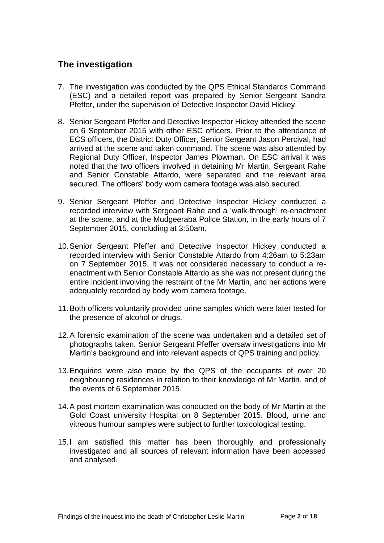## <span id="page-3-0"></span>**The investigation**

- 7. The investigation was conducted by the QPS Ethical Standards Command (ESC) and a detailed report was prepared by Senior Sergeant Sandra Pfeffer, under the supervision of Detective Inspector David Hickey.
- 8. Senior Sergeant Pfeffer and Detective Inspector Hickey attended the scene on 6 September 2015 with other ESC officers. Prior to the attendance of ECS officers, the District Duty Officer, Senior Sergeant Jason Percival, had arrived at the scene and taken command. The scene was also attended by Regional Duty Officer, Inspector James Plowman. On ESC arrival it was noted that the two officers involved in detaining Mr Martin, Sergeant Rahe and Senior Constable Attardo, were separated and the relevant area secured. The officers' body worn camera footage was also secured.
- 9. Senior Sergeant Pfeffer and Detective Inspector Hickey conducted a recorded interview with Sergeant Rahe and a 'walk-through' re-enactment at the scene, and at the Mudgeeraba Police Station, in the early hours of 7 September 2015, concluding at 3:50am.
- 10.Senior Sergeant Pfeffer and Detective Inspector Hickey conducted a recorded interview with Senior Constable Attardo from 4:26am to 5:23am on 7 September 2015. It was not considered necessary to conduct a reenactment with Senior Constable Attardo as she was not present during the entire incident involving the restraint of the Mr Martin, and her actions were adequately recorded by body worn camera footage.
- 11.Both officers voluntarily provided urine samples which were later tested for the presence of alcohol or drugs.
- 12.A forensic examination of the scene was undertaken and a detailed set of photographs taken. Senior Sergeant Pfeffer oversaw investigations into Mr Martin's background and into relevant aspects of QPS training and policy.
- 13.Enquiries were also made by the QPS of the occupants of over 20 neighbouring residences in relation to their knowledge of Mr Martin, and of the events of 6 September 2015.
- 14.A post mortem examination was conducted on the body of Mr Martin at the Gold Coast university Hospital on 8 September 2015. Blood, urine and vitreous humour samples were subject to further toxicological testing.
- 15.I am satisfied this matter has been thoroughly and professionally investigated and all sources of relevant information have been accessed and analysed.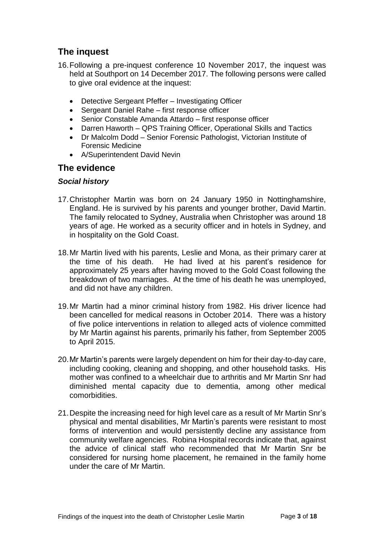## <span id="page-4-0"></span>**The inquest**

- 16.Following a pre-inquest conference 10 November 2017, the inquest was held at Southport on 14 December 2017. The following persons were called to give oral evidence at the inquest:
	- Detective Sergeant Pfeffer Investigating Officer
	- Sergeant Daniel Rahe first response officer
	- Senior Constable Amanda Attardo first response officer
	- Darren Haworth QPS Training Officer, Operational Skills and Tactics
	- Dr Malcolm Dodd Senior Forensic Pathologist, Victorian Institute of Forensic Medicine
	- A/Superintendent David Nevin

## <span id="page-4-1"></span>**The evidence**

#### *Social history*

- 17.Christopher Martin was born on 24 January 1950 in Nottinghamshire, England. He is survived by his parents and younger brother, David Martin. The family relocated to Sydney, Australia when Christopher was around 18 years of age. He worked as a security officer and in hotels in Sydney, and in hospitality on the Gold Coast.
- 18.Mr Martin lived with his parents, Leslie and Mona, as their primary carer at the time of his death. He had lived at his parent's residence for approximately 25 years after having moved to the Gold Coast following the breakdown of two marriages. At the time of his death he was unemployed, and did not have any children.
- 19.Mr Martin had a minor criminal history from 1982. His driver licence had been cancelled for medical reasons in October 2014. There was a history of five police interventions in relation to alleged acts of violence committed by Mr Martin against his parents, primarily his father, from September 2005 to April 2015.
- 20.Mr Martin's parents were largely dependent on him for their day-to-day care, including cooking, cleaning and shopping, and other household tasks. His mother was confined to a wheelchair due to arthritis and Mr Martin Snr had diminished mental capacity due to dementia, among other medical comorbidities.
- 21.Despite the increasing need for high level care as a result of Mr Martin Snr's physical and mental disabilities, Mr Martin's parents were resistant to most forms of intervention and would persistently decline any assistance from community welfare agencies. Robina Hospital records indicate that, against the advice of clinical staff who recommended that Mr Martin Snr be considered for nursing home placement, he remained in the family home under the care of Mr Martin.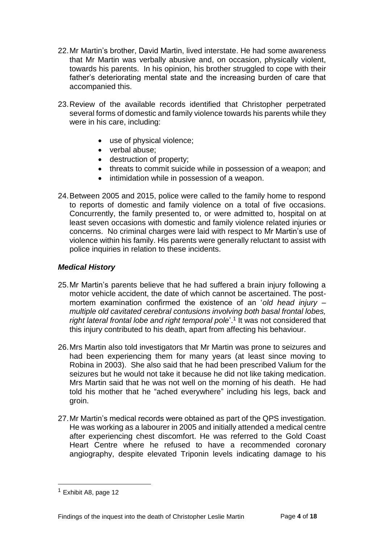- 22.Mr Martin's brother, David Martin, lived interstate. He had some awareness that Mr Martin was verbally abusive and, on occasion, physically violent, towards his parents. In his opinion, his brother struggled to cope with their father's deteriorating mental state and the increasing burden of care that accompanied this.
- 23.Review of the available records identified that Christopher perpetrated several forms of domestic and family violence towards his parents while they were in his care, including:
	- use of physical violence;
	- verbal abuse:
	- destruction of property;
	- threats to commit suicide while in possession of a weapon; and
	- intimidation while in possession of a weapon.
- 24.Between 2005 and 2015, police were called to the family home to respond to reports of domestic and family violence on a total of five occasions. Concurrently, the family presented to, or were admitted to, hospital on at least seven occasions with domestic and family violence related injuries or concerns. No criminal charges were laid with respect to Mr Martin's use of violence within his family. His parents were generally reluctant to assist with police inquiries in relation to these incidents.

#### *Medical History*

- 25.Mr Martin's parents believe that he had suffered a brain injury following a motor vehicle accident, the date of which cannot be ascertained. The postmortem examination confirmed the existence of an '*old head injury – multiple old cavitated cerebral contusions involving both basal frontal lobes,*  right lateral frontal lobe and right temporal pole'.<sup>1</sup> It was not considered that this injury contributed to his death, apart from affecting his behaviour.
- 26.Mrs Martin also told investigators that Mr Martin was prone to seizures and had been experiencing them for many years (at least since moving to Robina in 2003). She also said that he had been prescribed Valium for the seizures but he would not take it because he did not like taking medication. Mrs Martin said that he was not well on the morning of his death. He had told his mother that he "ached everywhere" including his legs, back and groin.
- 27.Mr Martin's medical records were obtained as part of the QPS investigation. He was working as a labourer in 2005 and initially attended a medical centre after experiencing chest discomfort. He was referred to the Gold Coast Heart Centre where he refused to have a recommended coronary angiography, despite elevated Triponin levels indicating damage to his

 $\overline{a}$ 

<sup>&</sup>lt;sup>1</sup> Exhibit A8, page 12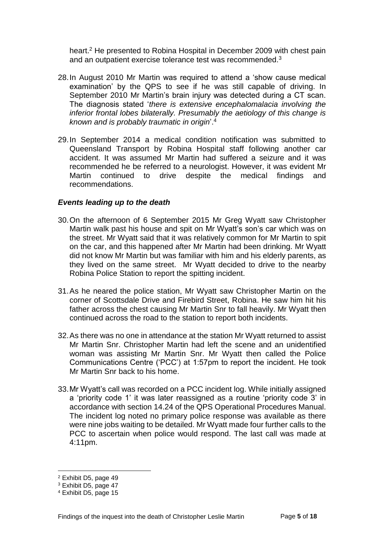heart. <sup>2</sup> He presented to Robina Hospital in December 2009 with chest pain and an outpatient exercise tolerance test was recommended.<sup>3</sup>

- 28.In August 2010 Mr Martin was required to attend a 'show cause medical examination' by the QPS to see if he was still capable of driving. In September 2010 Mr Martin's brain injury was detected during a CT scan. The diagnosis stated '*there is extensive encephalomalacia involving the inferior frontal lobes bilaterally. Presumably the aetiology of this change is known and is probably traumatic in origin*'. 4
- 29.In September 2014 a medical condition notification was submitted to Queensland Transport by Robina Hospital staff following another car accident. It was assumed Mr Martin had suffered a seizure and it was recommended he be referred to a neurologist. However, it was evident Mr Martin continued to drive despite the medical findings and recommendations.

#### *Events leading up to the death*

- 30.On the afternoon of 6 September 2015 Mr Greg Wyatt saw Christopher Martin walk past his house and spit on Mr Wyatt's son's car which was on the street. Mr Wyatt said that it was relatively common for Mr Martin to spit on the car, and this happened after Mr Martin had been drinking. Mr Wyatt did not know Mr Martin but was familiar with him and his elderly parents, as they lived on the same street. Mr Wyatt decided to drive to the nearby Robina Police Station to report the spitting incident.
- 31.As he neared the police station, Mr Wyatt saw Christopher Martin on the corner of Scottsdale Drive and Firebird Street, Robina. He saw him hit his father across the chest causing Mr Martin Snr to fall heavily. Mr Wyatt then continued across the road to the station to report both incidents.
- 32.As there was no one in attendance at the station Mr Wyatt returned to assist Mr Martin Snr. Christopher Martin had left the scene and an unidentified woman was assisting Mr Martin Snr. Mr Wyatt then called the Police Communications Centre ('PCC') at 1:57pm to report the incident. He took Mr Martin Snr back to his home.
- 33.Mr Wyatt's call was recorded on a PCC incident log. While initially assigned a 'priority code 1' it was later reassigned as a routine 'priority code 3' in accordance with section 14.24 of the QPS Operational Procedures Manual. The incident log noted no primary police response was available as there were nine jobs waiting to be detailed. Mr Wyatt made four further calls to the PCC to ascertain when police would respond. The last call was made at 4:11pm.

l

<sup>2</sup> Exhibit D5, page 49

<sup>3</sup> Exhibit D5, page 47

<sup>4</sup> Exhibit D5, page 15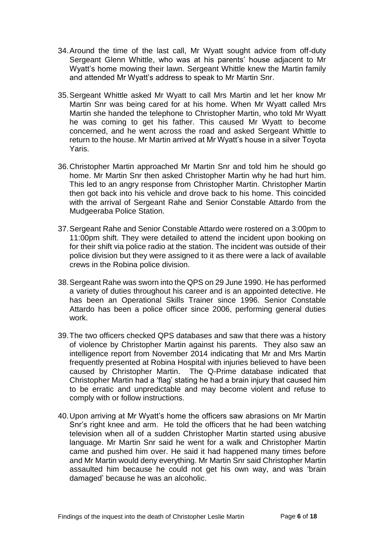- 34.Around the time of the last call, Mr Wyatt sought advice from off-duty Sergeant Glenn Whittle, who was at his parents' house adjacent to Mr Wyatt's home mowing their lawn. Sergeant Whittle knew the Martin family and attended Mr Wyatt's address to speak to Mr Martin Snr.
- 35.Sergeant Whittle asked Mr Wyatt to call Mrs Martin and let her know Mr Martin Snr was being cared for at his home. When Mr Wyatt called Mrs Martin she handed the telephone to Christopher Martin, who told Mr Wyatt he was coming to get his father. This caused Mr Wyatt to become concerned, and he went across the road and asked Sergeant Whittle to return to the house. Mr Martin arrived at Mr Wyatt's house in a silver Toyota Yaris.
- 36.Christopher Martin approached Mr Martin Snr and told him he should go home. Mr Martin Snr then asked Christopher Martin why he had hurt him. This led to an angry response from Christopher Martin. Christopher Martin then got back into his vehicle and drove back to his home. This coincided with the arrival of Sergeant Rahe and Senior Constable Attardo from the Mudgeeraba Police Station.
- 37.Sergeant Rahe and Senior Constable Attardo were rostered on a 3:00pm to 11:00pm shift. They were detailed to attend the incident upon booking on for their shift via police radio at the station. The incident was outside of their police division but they were assigned to it as there were a lack of available crews in the Robina police division.
- 38.Sergeant Rahe was sworn into the QPS on 29 June 1990. He has performed a variety of duties throughout his career and is an appointed detective. He has been an Operational Skills Trainer since 1996. Senior Constable Attardo has been a police officer since 2006, performing general duties work.
- 39.The two officers checked QPS databases and saw that there was a history of violence by Christopher Martin against his parents. They also saw an intelligence report from November 2014 indicating that Mr and Mrs Martin frequently presented at Robina Hospital with injuries believed to have been caused by Christopher Martin. The Q-Prime database indicated that Christopher Martin had a 'flag' stating he had a brain injury that caused him to be erratic and unpredictable and may become violent and refuse to comply with or follow instructions.
- 40.Upon arriving at Mr Wyatt's home the officers saw abrasions on Mr Martin Snr's right knee and arm. He told the officers that he had been watching television when all of a sudden Christopher Martin started using abusive language. Mr Martin Snr said he went for a walk and Christopher Martin came and pushed him over. He said it had happened many times before and Mr Martin would deny everything. Mr Martin Snr said Christopher Martin assaulted him because he could not get his own way, and was 'brain damaged' because he was an alcoholic.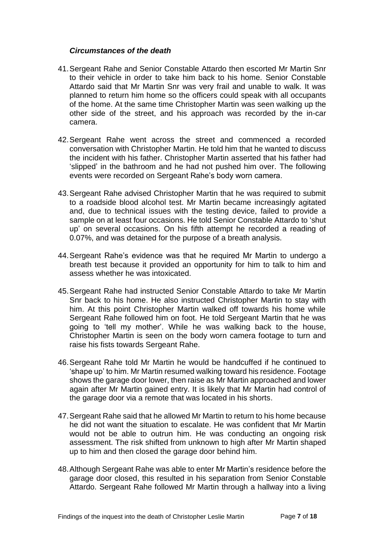#### *Circumstances of the death*

- 41.Sergeant Rahe and Senior Constable Attardo then escorted Mr Martin Snr to their vehicle in order to take him back to his home. Senior Constable Attardo said that Mr Martin Snr was very frail and unable to walk. It was planned to return him home so the officers could speak with all occupants of the home. At the same time Christopher Martin was seen walking up the other side of the street, and his approach was recorded by the in-car camera.
- 42.Sergeant Rahe went across the street and commenced a recorded conversation with Christopher Martin. He told him that he wanted to discuss the incident with his father. Christopher Martin asserted that his father had 'slipped' in the bathroom and he had not pushed him over. The following events were recorded on Sergeant Rahe's body worn camera.
- 43.Sergeant Rahe advised Christopher Martin that he was required to submit to a roadside blood alcohol test. Mr Martin became increasingly agitated and, due to technical issues with the testing device, failed to provide a sample on at least four occasions. He told Senior Constable Attardo to 'shut up' on several occasions. On his fifth attempt he recorded a reading of 0.07%, and was detained for the purpose of a breath analysis.
- 44.Sergeant Rahe's evidence was that he required Mr Martin to undergo a breath test because it provided an opportunity for him to talk to him and assess whether he was intoxicated.
- 45.Sergeant Rahe had instructed Senior Constable Attardo to take Mr Martin Snr back to his home. He also instructed Christopher Martin to stay with him. At this point Christopher Martin walked off towards his home while Sergeant Rahe followed him on foot. He told Sergeant Martin that he was going to 'tell my mother'. While he was walking back to the house, Christopher Martin is seen on the body worn camera footage to turn and raise his fists towards Sergeant Rahe.
- 46.Sergeant Rahe told Mr Martin he would be handcuffed if he continued to 'shape up' to him. Mr Martin resumed walking toward his residence. Footage shows the garage door lower, then raise as Mr Martin approached and lower again after Mr Martin gained entry. It is likely that Mr Martin had control of the garage door via a remote that was located in his shorts.
- 47.Sergeant Rahe said that he allowed Mr Martin to return to his home because he did not want the situation to escalate. He was confident that Mr Martin would not be able to outrun him. He was conducting an ongoing risk assessment. The risk shifted from unknown to high after Mr Martin shaped up to him and then closed the garage door behind him.
- 48.Although Sergeant Rahe was able to enter Mr Martin's residence before the garage door closed, this resulted in his separation from Senior Constable Attardo. Sergeant Rahe followed Mr Martin through a hallway into a living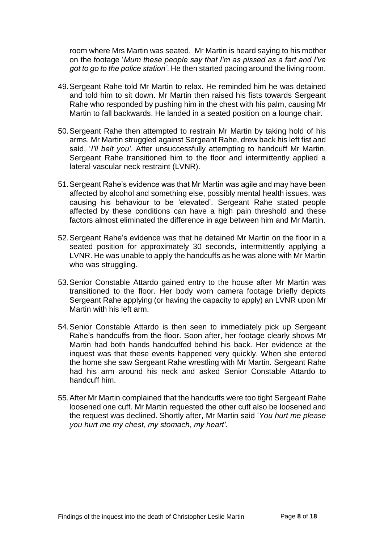room where Mrs Martin was seated. Mr Martin is heard saying to his mother on the footage '*Mum these people say that I'm as pissed as a fart and I've got to go to the police station'*. He then started pacing around the living room.

- 49.Sergeant Rahe told Mr Martin to relax. He reminded him he was detained and told him to sit down. Mr Martin then raised his fists towards Sergeant Rahe who responded by pushing him in the chest with his palm, causing Mr Martin to fall backwards. He landed in a seated position on a lounge chair.
- 50.Sergeant Rahe then attempted to restrain Mr Martin by taking hold of his arms. Mr Martin struggled against Sergeant Rahe, drew back his left fist and said, '*I'll belt you'*. After unsuccessfully attempting to handcuff Mr Martin, Sergeant Rahe transitioned him to the floor and intermittently applied a lateral vascular neck restraint (LVNR).
- 51.Sergeant Rahe's evidence was that Mr Martin was agile and may have been affected by alcohol and something else, possibly mental health issues, was causing his behaviour to be 'elevated'. Sergeant Rahe stated people affected by these conditions can have a high pain threshold and these factors almost eliminated the difference in age between him and Mr Martin.
- 52.Sergeant Rahe's evidence was that he detained Mr Martin on the floor in a seated position for approximately 30 seconds, intermittently applying a LVNR. He was unable to apply the handcuffs as he was alone with Mr Martin who was struggling.
- 53.Senior Constable Attardo gained entry to the house after Mr Martin was transitioned to the floor. Her body worn camera footage briefly depicts Sergeant Rahe applying (or having the capacity to apply) an LVNR upon Mr Martin with his left arm.
- 54.Senior Constable Attardo is then seen to immediately pick up Sergeant Rahe's handcuffs from the floor. Soon after, her footage clearly shows Mr Martin had both hands handcuffed behind his back. Her evidence at the inquest was that these events happened very quickly. When she entered the home she saw Sergeant Rahe wrestling with Mr Martin. Sergeant Rahe had his arm around his neck and asked Senior Constable Attardo to handcuff him.
- 55.After Mr Martin complained that the handcuffs were too tight Sergeant Rahe loosened one cuff. Mr Martin requested the other cuff also be loosened and the request was declined. Shortly after, Mr Martin said '*You hurt me please you hurt me my chest, my stomach, my heart'.*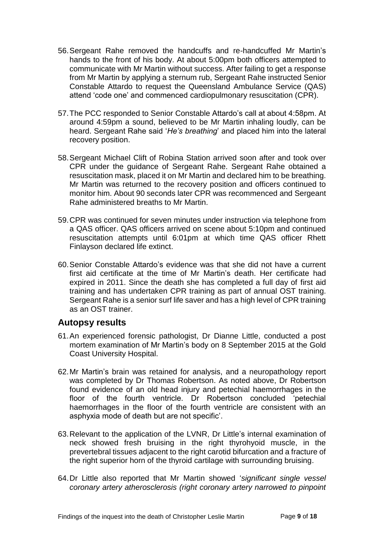- 56.Sergeant Rahe removed the handcuffs and re-handcuffed Mr Martin's hands to the front of his body. At about 5:00pm both officers attempted to communicate with Mr Martin without success. After failing to get a response from Mr Martin by applying a sternum rub, Sergeant Rahe instructed Senior Constable Attardo to request the Queensland Ambulance Service (QAS) attend 'code one' and commenced cardiopulmonary resuscitation (CPR).
- 57.The PCC responded to Senior Constable Attardo's call at about 4:58pm. At around 4:59pm a sound, believed to be Mr Martin inhaling loudly, can be heard. Sergeant Rahe said '*He's breathing*' and placed him into the lateral recovery position.
- 58.Sergeant Michael Clift of Robina Station arrived soon after and took over CPR under the guidance of Sergeant Rahe. Sergeant Rahe obtained a resuscitation mask, placed it on Mr Martin and declared him to be breathing. Mr Martin was returned to the recovery position and officers continued to monitor him. About 90 seconds later CPR was recommenced and Sergeant Rahe administered breaths to Mr Martin.
- 59.CPR was continued for seven minutes under instruction via telephone from a QAS officer. QAS officers arrived on scene about 5:10pm and continued resuscitation attempts until 6:01pm at which time QAS officer Rhett Finlayson declared life extinct.
- 60.Senior Constable Attardo's evidence was that she did not have a current first aid certificate at the time of Mr Martin's death. Her certificate had expired in 2011. Since the death she has completed a full day of first aid training and has undertaken CPR training as part of annual OST training. Sergeant Rahe is a senior surf life saver and has a high level of CPR training as an OST trainer.

#### <span id="page-10-0"></span>**Autopsy results**

- 61.An experienced forensic pathologist, Dr Dianne Little, conducted a post mortem examination of Mr Martin's body on 8 September 2015 at the Gold Coast University Hospital.
- 62.Mr Martin's brain was retained for analysis, and a neuropathology report was completed by Dr Thomas Robertson. As noted above, Dr Robertson found evidence of an old head injury and petechial haemorrhages in the floor of the fourth ventricle. Dr Robertson concluded 'petechial haemorrhages in the floor of the fourth ventricle are consistent with an asphyxia mode of death but are not specific'.
- 63.Relevant to the application of the LVNR, Dr Little's internal examination of neck showed fresh bruising in the right thyrohyoid muscle, in the prevertebral tissues adjacent to the right carotid bifurcation and a fracture of the right superior horn of the thyroid cartilage with surrounding bruising.
- 64.Dr Little also reported that Mr Martin showed '*significant single vessel coronary artery atherosclerosis (right coronary artery narrowed to pinpoint*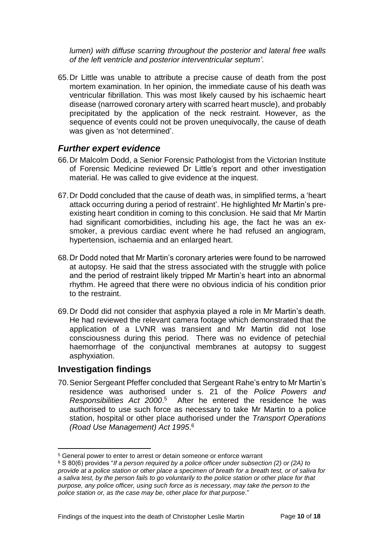*lumen) with diffuse scarring throughout the posterior and lateral free walls of the left ventricle and posterior interventricular septum'*.

65.Dr Little was unable to attribute a precise cause of death from the post mortem examination. In her opinion, the immediate cause of his death was ventricular fibrillation. This was most likely caused by his ischaemic heart disease (narrowed coronary artery with scarred heart muscle), and probably precipitated by the application of the neck restraint. However, as the sequence of events could not be proven unequivocally, the cause of death was given as 'not determined'.

#### <span id="page-11-0"></span>*Further expert evidence*

- 66.Dr Malcolm Dodd, a Senior Forensic Pathologist from the Victorian Institute of Forensic Medicine reviewed Dr Little's report and other investigation material. He was called to give evidence at the inquest.
- 67.Dr Dodd concluded that the cause of death was, in simplified terms, a 'heart attack occurring during a period of restraint'. He highlighted Mr Martin's preexisting heart condition in coming to this conclusion. He said that Mr Martin had significant comorbidities, including his age, the fact he was an exsmoker, a previous cardiac event where he had refused an angiogram, hypertension, ischaemia and an enlarged heart.
- 68.Dr Dodd noted that Mr Martin's coronary arteries were found to be narrowed at autopsy. He said that the stress associated with the struggle with police and the period of restraint likely tripped Mr Martin's heart into an abnormal rhythm. He agreed that there were no obvious indicia of his condition prior to the restraint.
- 69.Dr Dodd did not consider that asphyxia played a role in Mr Martin's death. He had reviewed the relevant camera footage which demonstrated that the application of a LVNR was transient and Mr Martin did not lose consciousness during this period. There was no evidence of petechial haemorrhage of the conjunctival membranes at autopsy to suggest asphyxiation.

## <span id="page-11-1"></span>**Investigation findings**

l

70.Senior Sergeant Pfeffer concluded that Sergeant Rahe's entry to Mr Martin's residence was authorised under s. 21 of the *Police Powers and Responsibilities Act 2000*. <sup>5</sup> After he entered the residence he was authorised to use such force as necessary to take Mr Martin to a police station, hospital or other place authorised under the *Transport Operations (Road Use Management) Act 1995*. 6

<sup>&</sup>lt;sup>5</sup> General power to enter to arrest or detain someone or enforce warrant

<sup>6</sup> S 80(6) provides "*If a person required by a police officer under subsection (2) or (2A) to provide at a police station or other place a specimen of breath for a breath test, or of saliva for a saliva test, by the person fails to go voluntarily to the police station or other place for that purpose, any police officer, using such force as is necessary, may take the person to the police station or, as the case may be, other place for that purpose*."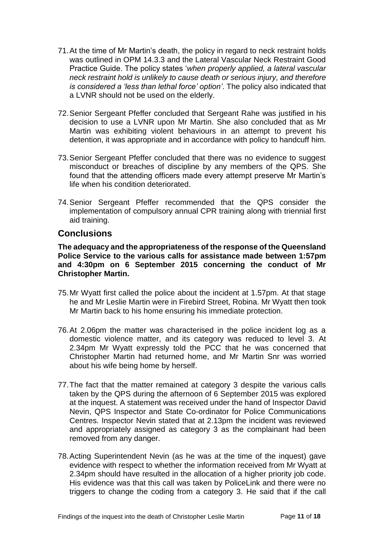- 71.At the time of Mr Martin's death, the policy in regard to neck restraint holds was outlined in OPM 14.3.3 and the Lateral Vascular Neck Restraint Good Practice Guide. The policy states '*when properly applied, a lateral vascular neck restraint hold is unlikely to cause death or serious injury, and therefore is considered a 'less than lethal force' option'*. The policy also indicated that a LVNR should not be used on the elderly.
- 72.Senior Sergeant Pfeffer concluded that Sergeant Rahe was justified in his decision to use a LVNR upon Mr Martin. She also concluded that as Mr Martin was exhibiting violent behaviours in an attempt to prevent his detention, it was appropriate and in accordance with policy to handcuff him.
- 73.Senior Sergeant Pfeffer concluded that there was no evidence to suggest misconduct or breaches of discipline by any members of the QPS. She found that the attending officers made every attempt preserve Mr Martin's life when his condition deteriorated.
- 74.Senior Sergeant Pfeffer recommended that the QPS consider the implementation of compulsory annual CPR training along with triennial first aid training.

#### **Conclusions**

**The adequacy and the appropriateness of the response of the Queensland Police Service to the various calls for assistance made between 1:57pm and 4:30pm on 6 September 2015 concerning the conduct of Mr Christopher Martin.**

- 75.Mr Wyatt first called the police about the incident at 1.57pm. At that stage he and Mr Leslie Martin were in Firebird Street, Robina. Mr Wyatt then took Mr Martin back to his home ensuring his immediate protection.
- 76.At 2.06pm the matter was characterised in the police incident log as a domestic violence matter, and its category was reduced to level 3. At 2.34pm Mr Wyatt expressly told the PCC that he was concerned that Christopher Martin had returned home, and Mr Martin Snr was worried about his wife being home by herself.
- 77.The fact that the matter remained at category 3 despite the various calls taken by the QPS during the afternoon of 6 September 2015 was explored at the inquest. A statement was received under the hand of Inspector David Nevin, QPS Inspector and State Co-ordinator for Police Communications Centres. Inspector Nevin stated that at 2.13pm the incident was reviewed and appropriately assigned as category 3 as the complainant had been removed from any danger.
- 78.Acting Superintendent Nevin (as he was at the time of the inquest) gave evidence with respect to whether the information received from Mr Wyatt at 2.34pm should have resulted in the allocation of a higher priority job code. His evidence was that this call was taken by PoliceLink and there were no triggers to change the coding from a category 3. He said that if the call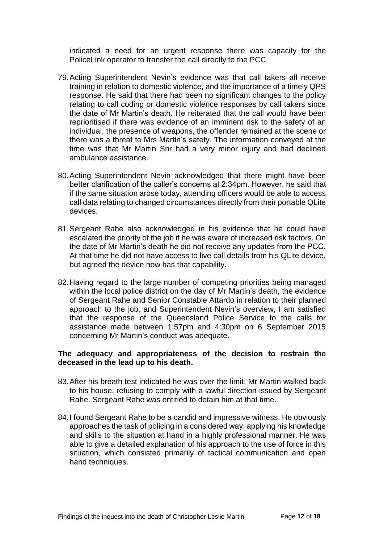indicated a need for an urgent response there was capacity for the PoliceLink operator to transfer the call directly to the PCC.

- 79.Acting Superintendent Nevin's evidence was that call takers all receive training in relation to domestic violence, and the importance of a timely QPS response. He said that there had been no significant changes to the policy relating to call coding or domestic violence responses by call takers since the date of Mr Martin's death. He reiterated that the call would have been reprioritised if there was evidence of an imminent risk to the safety of an individual, the presence of weapons, the offender remained at the scene or there was a threat to Mrs Martin's safety. The information conveyed at the time was that Mr Martin Snr had a very minor injury and had declined ambulance assistance.
- 80.Acting Superintendent Nevin acknowledged that there might have been better clarification of the caller's concerns at 2:34pm. However, he said that if the same situation arose today, attending officers would be able to access call data relating to changed circumstances directly from their portable QLite devices.
- 81.Sergeant Rahe also acknowledged in his evidence that he could have escalated the priority of the job if he was aware of increased risk factors. On the date of Mr Martin's death he did not receive any updates from the PCC. At that time he did not have access to live call details from his QLite device, but agreed the device now has that capability.
- 82.Having regard to the large number of competing priorities being managed within the local police district on the day of Mr Martin's death, the evidence of Sergeant Rahe and Senior Constable Attardo in relation to their planned approach to the job, and Superintendent Nevin's overview, I am satisfied that the response of the Queensland Police Service to the calls for assistance made between 1:57pm and 4:30pm on 6 September 2015 concerning Mr Martin's conduct was adequate.

#### **The adequacy and appropriateness of the decision to restrain the deceased in the lead up to his death.**

- 83.After his breath test indicated he was over the limit, Mr Martin walked back to his house, refusing to comply with a lawful direction issued by Sergeant Rahe. Sergeant Rahe was entitled to detain him at that time.
- 84.I found Sergeant Rahe to be a candid and impressive witness. He obviously approaches the task of policing in a considered way, applying his knowledge and skills to the situation at hand in a highly professional manner. He was able to give a detailed explanation of his approach to the use of force in this situation, which consisted primarily of tactical communication and open hand techniques.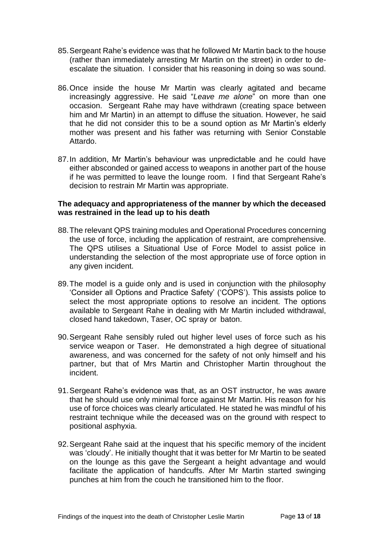- 85.Sergeant Rahe's evidence was that he followed Mr Martin back to the house (rather than immediately arresting Mr Martin on the street) in order to deescalate the situation. I consider that his reasoning in doing so was sound.
- 86.Once inside the house Mr Martin was clearly agitated and became increasingly aggressive. He said "*Leave me alone*" on more than one occasion. Sergeant Rahe may have withdrawn (creating space between him and Mr Martin) in an attempt to diffuse the situation. However, he said that he did not consider this to be a sound option as Mr Martin's elderly mother was present and his father was returning with Senior Constable Attardo.
- 87.In addition, Mr Martin's behaviour was unpredictable and he could have either absconded or gained access to weapons in another part of the house if he was permitted to leave the lounge room. I find that Sergeant Rahe's decision to restrain Mr Martin was appropriate.

#### **The adequacy and appropriateness of the manner by which the deceased was restrained in the lead up to his death**

- 88.The relevant QPS training modules and Operational Procedures concerning the use of force, including the application of restraint, are comprehensive. The QPS utilises a Situational Use of Force Model to assist police in understanding the selection of the most appropriate use of force option in any given incident.
- 89.The model is a guide only and is used in conjunction with the philosophy 'Consider all Options and Practice Safety' ('COPS'). This assists police to select the most appropriate options to resolve an incident. The options available to Sergeant Rahe in dealing with Mr Martin included withdrawal, closed hand takedown, Taser, OC spray or baton.
- 90.Sergeant Rahe sensibly ruled out higher level uses of force such as his service weapon or Taser. He demonstrated a high degree of situational awareness, and was concerned for the safety of not only himself and his partner, but that of Mrs Martin and Christopher Martin throughout the incident.
- 91.Sergeant Rahe's evidence was that, as an OST instructor, he was aware that he should use only minimal force against Mr Martin. His reason for his use of force choices was clearly articulated. He stated he was mindful of his restraint technique while the deceased was on the ground with respect to positional asphyxia.
- 92.Sergeant Rahe said at the inquest that his specific memory of the incident was 'cloudy'. He initially thought that it was better for Mr Martin to be seated on the lounge as this gave the Sergeant a height advantage and would facilitate the application of handcuffs. After Mr Martin started swinging punches at him from the couch he transitioned him to the floor.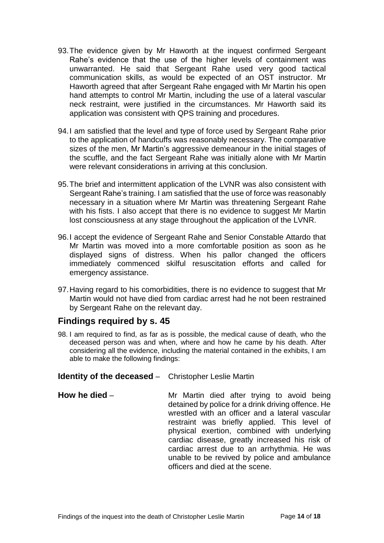- 93.The evidence given by Mr Haworth at the inquest confirmed Sergeant Rahe's evidence that the use of the higher levels of containment was unwarranted. He said that Sergeant Rahe used very good tactical communication skills, as would be expected of an OST instructor. Mr Haworth agreed that after Sergeant Rahe engaged with Mr Martin his open hand attempts to control Mr Martin, including the use of a lateral vascular neck restraint, were justified in the circumstances. Mr Haworth said its application was consistent with QPS training and procedures.
- 94.I am satisfied that the level and type of force used by Sergeant Rahe prior to the application of handcuffs was reasonably necessary. The comparative sizes of the men, Mr Martin's aggressive demeanour in the initial stages of the scuffle, and the fact Sergeant Rahe was initially alone with Mr Martin were relevant considerations in arriving at this conclusion.
- 95.The brief and intermittent application of the LVNR was also consistent with Sergeant Rahe's training. I am satisfied that the use of force was reasonably necessary in a situation where Mr Martin was threatening Sergeant Rahe with his fists. I also accept that there is no evidence to suggest Mr Martin lost consciousness at any stage throughout the application of the LVNR.
- 96.I accept the evidence of Sergeant Rahe and Senior Constable Attardo that Mr Martin was moved into a more comfortable position as soon as he displayed signs of distress. When his pallor changed the officers immediately commenced skilful resuscitation efforts and called for emergency assistance.
- 97.Having regard to his comorbidities, there is no evidence to suggest that Mr Martin would not have died from cardiac arrest had he not been restrained by Sergeant Rahe on the relevant day.

#### <span id="page-15-0"></span>**Findings required by s. 45**

- 98. I am required to find, as far as is possible, the medical cause of death, who the deceased person was and when, where and how he came by his death. After considering all the evidence, including the material contained in the exhibits, I am able to make the following findings:
- <span id="page-15-1"></span>**Identity of the deceased** – Christopher Leslie Martin
- <span id="page-15-2"></span>**How he died** – Mr Martin died after trying to avoid being detained by police for a drink driving offence. He wrestled with an officer and a lateral vascular restraint was briefly applied. This level of physical exertion, combined with underlying cardiac disease, greatly increased his risk of cardiac arrest due to an arrhythmia. He was unable to be revived by police and ambulance officers and died at the scene.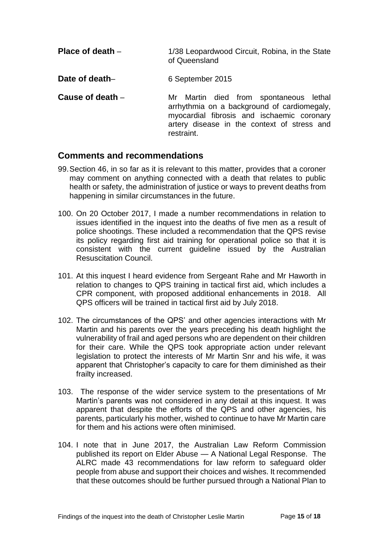- <span id="page-16-0"></span>**Place of death** – 1/38 Leopardwood Circuit, Robina, in the State of Queensland
- <span id="page-16-1"></span>**Date of death–** 6 September 2015
- <span id="page-16-2"></span>**Cause of death** – Mr Martin died from spontaneous lethal arrhythmia on a background of cardiomegaly, myocardial fibrosis and ischaemic coronary artery disease in the context of stress and restraint.

#### <span id="page-16-3"></span>**Comments and recommendations**

- 99.Section 46, in so far as it is relevant to this matter, provides that a coroner may comment on anything connected with a death that relates to public health or safety, the administration of justice or ways to prevent deaths from happening in similar circumstances in the future.
- 100. On 20 October 2017, I made a number recommendations in relation to issues identified in the inquest into the deaths of five men as a result of police shootings. These included a recommendation that the QPS revise its policy regarding first aid training for operational police so that it is consistent with the current guideline issued by the Australian Resuscitation Council.
- 101. At this inquest I heard evidence from Sergeant Rahe and Mr Haworth in relation to changes to QPS training in tactical first aid, which includes a CPR component, with proposed additional enhancements in 2018. All QPS officers will be trained in tactical first aid by July 2018.
- 102. The circumstances of the QPS' and other agencies interactions with Mr Martin and his parents over the years preceding his death highlight the vulnerability of frail and aged persons who are dependent on their children for their care. While the QPS took appropriate action under relevant legislation to protect the interests of Mr Martin Snr and his wife, it was apparent that Christopher's capacity to care for them diminished as their frailty increased.
- 103. The response of the wider service system to the presentations of Mr Martin's parents was not considered in any detail at this inquest. It was apparent that despite the efforts of the QPS and other agencies, his parents, particularly his mother, wished to continue to have Mr Martin care for them and his actions were often minimised.
- 104. I note that in June 2017, the Australian Law Reform Commission published its report on Elder Abuse — A National Legal Response. The ALRC made 43 recommendations for law reform to safeguard older people from abuse and support their choices and wishes. It recommended that these outcomes should be further pursued through a National Plan to